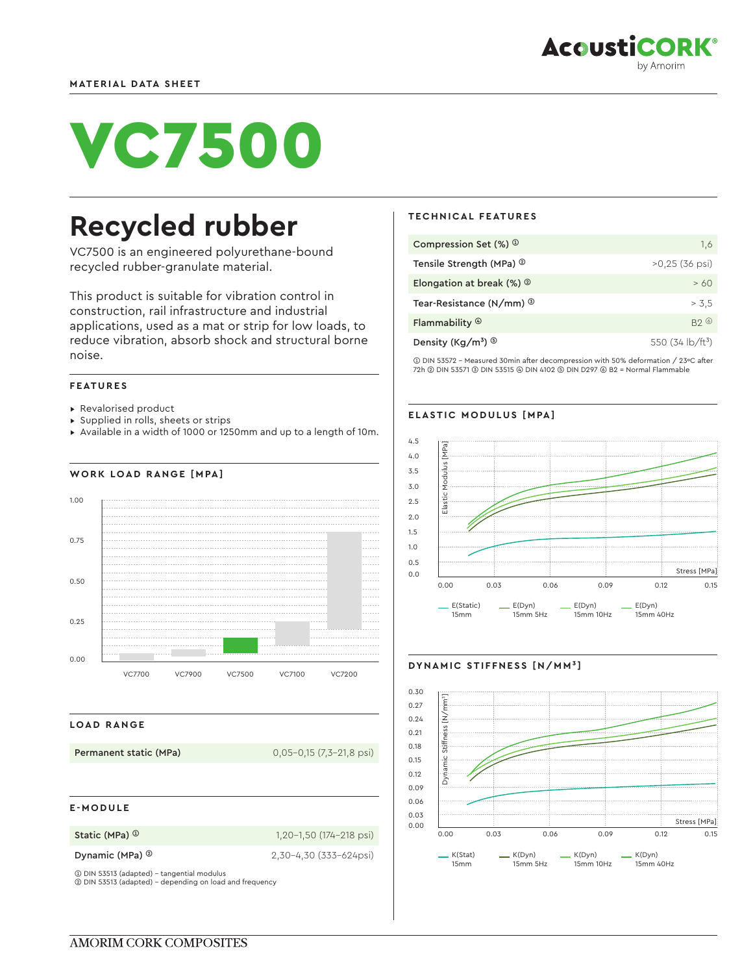

# VC7500

## **Recycled rubber**

VC7500 is an engineered polyurethane-bound recycled rubber-granulate material.

This product is suitable for vibration control in construction, rail infrastructure and industrial applications, used as a mat or strip for low loads, to reduce vibration, absorb shock and structural borne noise.

#### **FEATURES**

- ▸ Revalorised product
- ▸ Supplied in rolls, sheets or strips
- ▸ Available in a width of 1000 or 1250mm and up to a length of 10m.

#### **WORK LOAD RANGE [MPA]**



#### **LOAD RANGE**

**Permanent static (MPa)** 0,05-0,15 (7,3-21,8 psi)

#### **E-MODULE**

**Static (MPa) <sup>①</sup> 1,20-1,50 (174-218 psi)** 

**Dynamic (MPa) ©** 2,30-4,30 (333-624psi)

➀ DIN 53513 (adapted) - tangential modulus ➁ DIN 53513 (adapted) - depending on load and frequency

#### **TECHNICAL FEATURES**

| Compression Set $(\%)$ <sup>①</sup>         | 1.6                                   |
|---------------------------------------------|---------------------------------------|
| Tensile Strength (MPa) <sup>2</sup>         | $>0.25$ (36 psi)                      |
| Elongation at break $(\%)$ $^{\circ}$       | >60                                   |
| Tear-Resistance (N/mm) <sup>3</sup>         | > 3.5                                 |
| Flammability $\circledcirc$                 | B20                                   |
| Density (Kg/m <sup>3</sup> ) $\circledcirc$ | 550 (34 $\frac{1}{2}$ $\frac{1}{2}$ ) |

➀ DIN 53572 - Measured 30min after decompression with 50% deformation / 23ºC after 72h ➁ DIN 53571 ➂ DIN 53515 ➃ DIN 4102 ➄ DIN D297 ➅ B2 = Normal Flammable

#### **ELASTIC MODULUS [MPA]**





#### **DYNAMIC STIFFNESS [N/MM³]**